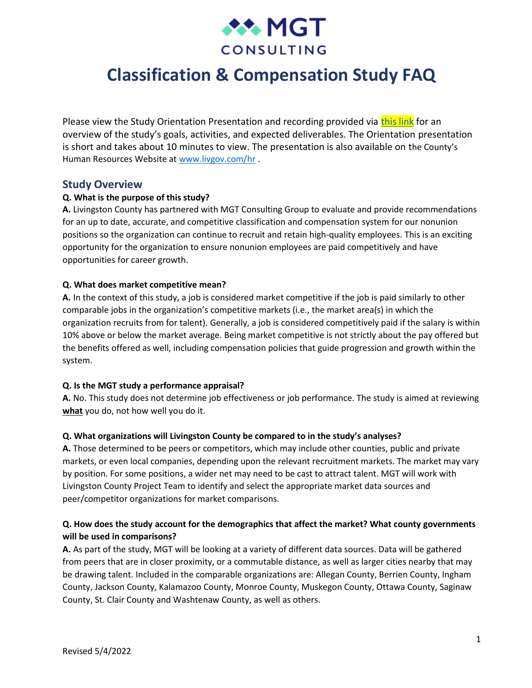

# **Classification & Compensation Study FAQ**

Please view the Study Orientation Presentation and recording provided via [this link](https://www.livgov.com/hr/PublishingImages/Study%20Orientation%20Presentation.pptx) for an overview of the study's goals, activities, and expected deliverables. The Orientation presentation is short and takes about 10 minutes to view. The presentation is also available on the County's Human Resources Website at [www.livgov.com/hr](http://www.livgov.com/hr) .

## **Study Overview**

#### **Q. What is the purpose of this study?**

**A.** Livingston County has partnered with MGT Consulting Group to evaluate and provide recommendations for an up to date, accurate, and competitive classification and compensation system for our nonunion positions so the organization can continue to recruit and retain high-quality employees. This is an exciting opportunity for the organization to ensure nonunion employees are paid competitively and have opportunities for career growth.

#### **Q. What does market competitive mean?**

**A.** In the context of this study, a job is considered market competitive if the job is paid similarly to other comparable jobs in the organization's competitive markets (i.e., the market area(s) in which the organization recruits from for talent). Generally, a job is considered competitively paid if the salary is within 10% above or below the market average. Being market competitive is not strictly about the pay offered but the benefits offered as well, including compensation policies that guide progression and growth within the system.

#### **Q. Is the MGT study a performance appraisal?**

**A.** No. This study does not determine job effectiveness or job performance. The study is aimed at reviewing **what** you do, not how well you do it.

#### **Q. What organizations will Livingston County be compared to in the study's analyses?**

**A.** Those determined to be peers or competitors, which may include other counties, public and private markets, or even local companies, depending upon the relevant recruitment markets. The market may vary by position. For some positions, a wider net may need to be cast to attract talent. MGT will work with Livingston County Project Team to identify and select the appropriate market data sources and peer/competitor organizations for market comparisons.

## **Q. How does the study account for the demographics that affect the market? What county governments will be used in comparisons?**

**A.** As part of the study, MGT will be looking at a variety of different data sources. Data will be gathered from peers that are in closer proximity, or a commutable distance, as well as larger cities nearby that may be drawing talent. Included in the comparable organizations are: Allegan County, Berrien County, Ingham County, Jackson County, Kalamazoo County, Monroe County, Muskegon County, Ottawa County, Saginaw County, St. Clair County and Washtenaw County, as well as others.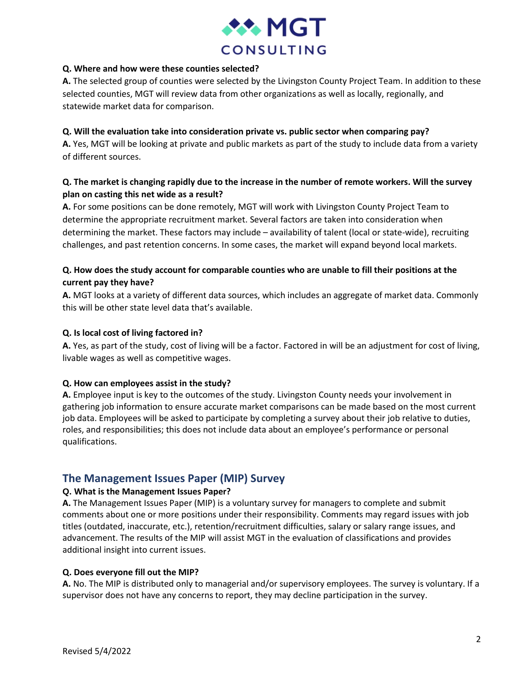

## **Q. Where and how were these counties selected?**

**A.** The selected group of counties were selected by the Livingston County Project Team. In addition to these selected counties, MGT will review data from other organizations as well as locally, regionally, and statewide market data for comparison.

## **Q. Will the evaluation take into consideration private vs. public sector when comparing pay?**

**A.** Yes, MGT will be looking at private and public markets as part of the study to include data from a variety of different sources.

## **Q. The market is changing rapidly due to the increase in the number of remote workers. Will the survey plan on casting this net wide as a result?**

**A.** For some positions can be done remotely, MGT will work with Livingston County Project Team to determine the appropriate recruitment market. Several factors are taken into consideration when determining the market. These factors may include – availability of talent (local or state-wide), recruiting challenges, and past retention concerns. In some cases, the market will expand beyond local markets.

## **Q. How does the study account for comparable counties who are unable to fill their positions at the current pay they have?**

**A.** MGT looks at a variety of different data sources, which includes an aggregate of market data. Commonly this will be other state level data that's available.

## **Q. Is local cost of living factored in?**

**A.** Yes, as part of the study, cost of living will be a factor. Factored in will be an adjustment for cost of living, livable wages as well as competitive wages.

## **Q. How can employees assist in the study?**

**A.** Employee input is key to the outcomes of the study. Livingston County needs your involvement in gathering job information to ensure accurate market comparisons can be made based on the most current job data. Employees will be asked to participate by completing a survey about their job relative to duties, roles, and responsibilities; this does not include data about an employee's performance or personal qualifications.

# **The Management Issues Paper (MIP) Survey**

## **Q. What is the Management Issues Paper?**

**A.** The Management Issues Paper (MIP) is a voluntary survey for managers to complete and submit comments about one or more positions under their responsibility. Comments may regard issues with job titles (outdated, inaccurate, etc.), retention/recruitment difficulties, salary or salary range issues, and advancement. The results of the MIP will assist MGT in the evaluation of classifications and provides additional insight into current issues.

## **Q. Does everyone fill out the MIP?**

**A.** No. The MIP is distributed only to managerial and/or supervisory employees. The survey is voluntary. If a supervisor does not have any concerns to report, they may decline participation in the survey.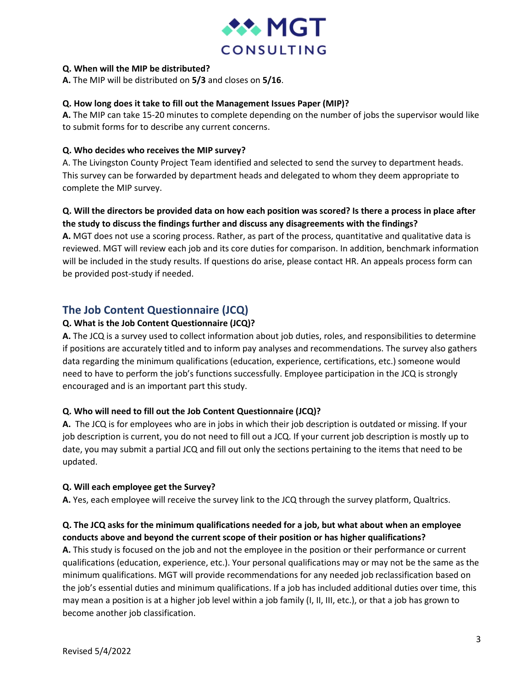

## **Q. When will the MIP be distributed?**

**A.** The MIP will be distributed on **5/3** and closes on **5/16**.

## **Q. How long does it take to fill out the Management Issues Paper (MIP)?**

**A.** The MIP can take 15-20 minutes to complete depending on the number of jobs the supervisor would like to submit forms for to describe any current concerns.

## **Q. Who decides who receives the MIP survey?**

A. The Livingston County Project Team identified and selected to send the survey to department heads. This survey can be forwarded by department heads and delegated to whom they deem appropriate to complete the MIP survey.

## **Q. Will the directors be provided data on how each position was scored? Is there a process in place after the study to discuss the findings further and discuss any disagreements with the findings?**

**A.** MGT does not use a scoring process. Rather, as part of the process, quantitative and qualitative data is reviewed. MGT will review each job and its core duties for comparison. In addition, benchmark information will be included in the study results. If questions do arise, please contact HR. An appeals process form can be provided post-study if needed.

# **The Job Content Questionnaire (JCQ)**

## **Q. What is the Job Content Questionnaire (JCQ)?**

**A.** The JCQ is a survey used to collect information about job duties, roles, and responsibilities to determine if positions are accurately titled and to inform pay analyses and recommendations. The survey also gathers data regarding the minimum qualifications (education, experience, certifications, etc.) someone would need to have to perform the job's functions successfully. Employee participation in the JCQ is strongly encouraged and is an important part this study.

## **Q. Who will need to fill out the Job Content Questionnaire (JCQ)?**

**A.** The JCQ is for employees who are in jobs in which their job description is outdated or missing. If your job description is current, you do not need to fill out a JCQ. If your current job description is mostly up to date, you may submit a partial JCQ and fill out only the sections pertaining to the items that need to be updated.

## **Q. Will each employee get the Survey?**

**A.** Yes, each employee will receive the survey link to the JCQ through the survey platform, Qualtrics.

## **Q. The JCQ asks for the minimum qualifications needed for a job, but what about when an employee conducts above and beyond the current scope of their position or has higher qualifications?**

**A.** This study is focused on the job and not the employee in the position or their performance or current qualifications (education, experience, etc.). Your personal qualifications may or may not be the same as the minimum qualifications. MGT will provide recommendations for any needed job reclassification based on the job's essential duties and minimum qualifications. If a job has included additional duties over time, this may mean a position is at a higher job level within a job family (I, II, III, etc.), or that a job has grown to become another job classification.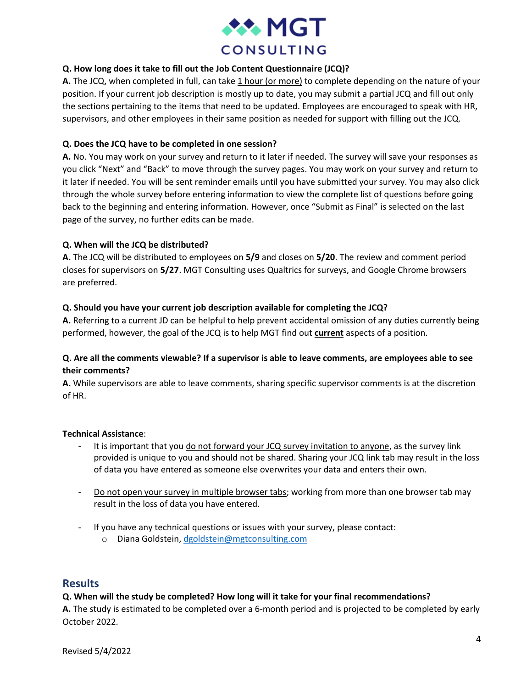

## **Q. How long does it take to fill out the Job Content Questionnaire (JCQ)?**

**A.** The JCQ, when completed in full, can take 1 hour (or more) to complete depending on the nature of your position. If your current job description is mostly up to date, you may submit a partial JCQ and fill out only the sections pertaining to the items that need to be updated. Employees are encouraged to speak with HR, supervisors, and other employees in their same position as needed for support with filling out the JCQ.

## **Q. Does the JCQ have to be completed in one session?**

**A.** No. You may work on your survey and return to it later if needed. The survey will save your responses as you click "Next" and "Back" to move through the survey pages. You may work on your survey and return to it later if needed. You will be sent reminder emails until you have submitted your survey. You may also click through the whole survey before entering information to view the complete list of questions before going back to the beginning and entering information. However, once "Submit as Final" is selected on the last page of the survey, no further edits can be made.

## **Q. When will the JCQ be distributed?**

**A.** The JCQ will be distributed to employees on **5/9** and closes on **5/20**. The review and comment period closes for supervisors on **5/27**. MGT Consulting uses Qualtrics for surveys, and Google Chrome browsers are preferred.

## **Q. Should you have your current job description available for completing the JCQ?**

**A.** Referring to a current JD can be helpful to help prevent accidental omission of any duties currently being performed, however, the goal of the JCQ is to help MGT find out **current** aspects of a position.

## **Q. Are all the comments viewable? If a supervisor is able to leave comments, are employees able to see their comments?**

**A.** While supervisors are able to leave comments, sharing specific supervisor comments is at the discretion of HR.

## **Technical Assistance**:

- It is important that you do not forward your JCQ survey invitation to anyone, as the survey link provided is unique to you and should not be shared. Sharing your JCQ link tab may result in the loss of data you have entered as someone else overwrites your data and enters their own.
- Do not open your survey in multiple browser tabs; working from more than one browser tab may result in the loss of data you have entered.
- If you have any technical questions or issues with your survey, please contact:
	- o Diana Goldstein, [dgoldstein@mgtconsulting.com](mailto:dgoldstein@mgtconsulting.com)

## **Results**

## **Q. When will the study be completed? How long will it take for your final recommendations?**

**A.** The study is estimated to be completed over a 6-month period and is projected to be completed by early October 2022.